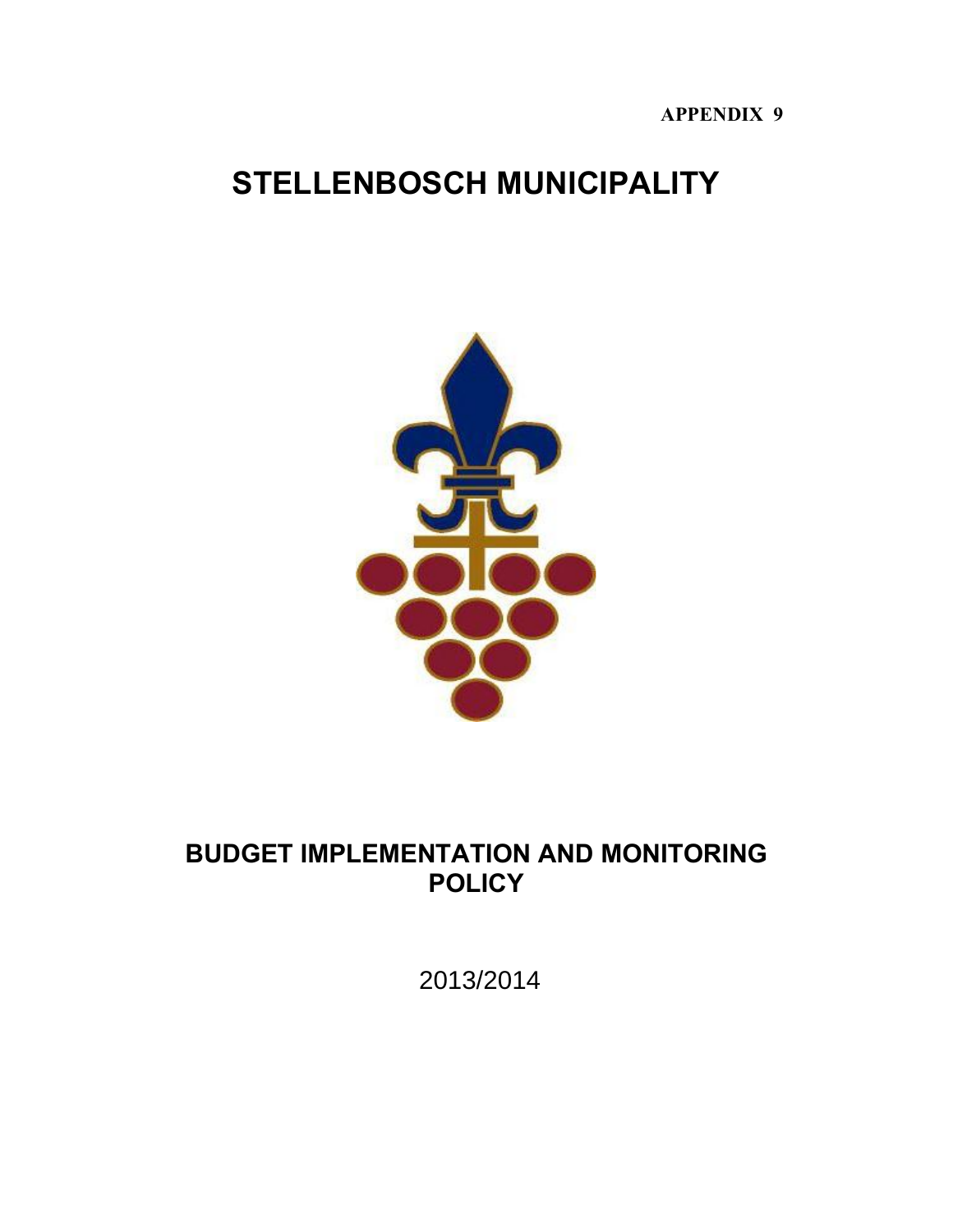# **APPENDIX 9**

# **STELLENBOSCH MUNICIPALITY**



# **BUDGET IMPLEMENTATION AND MONITORING POLICY**

2013/2014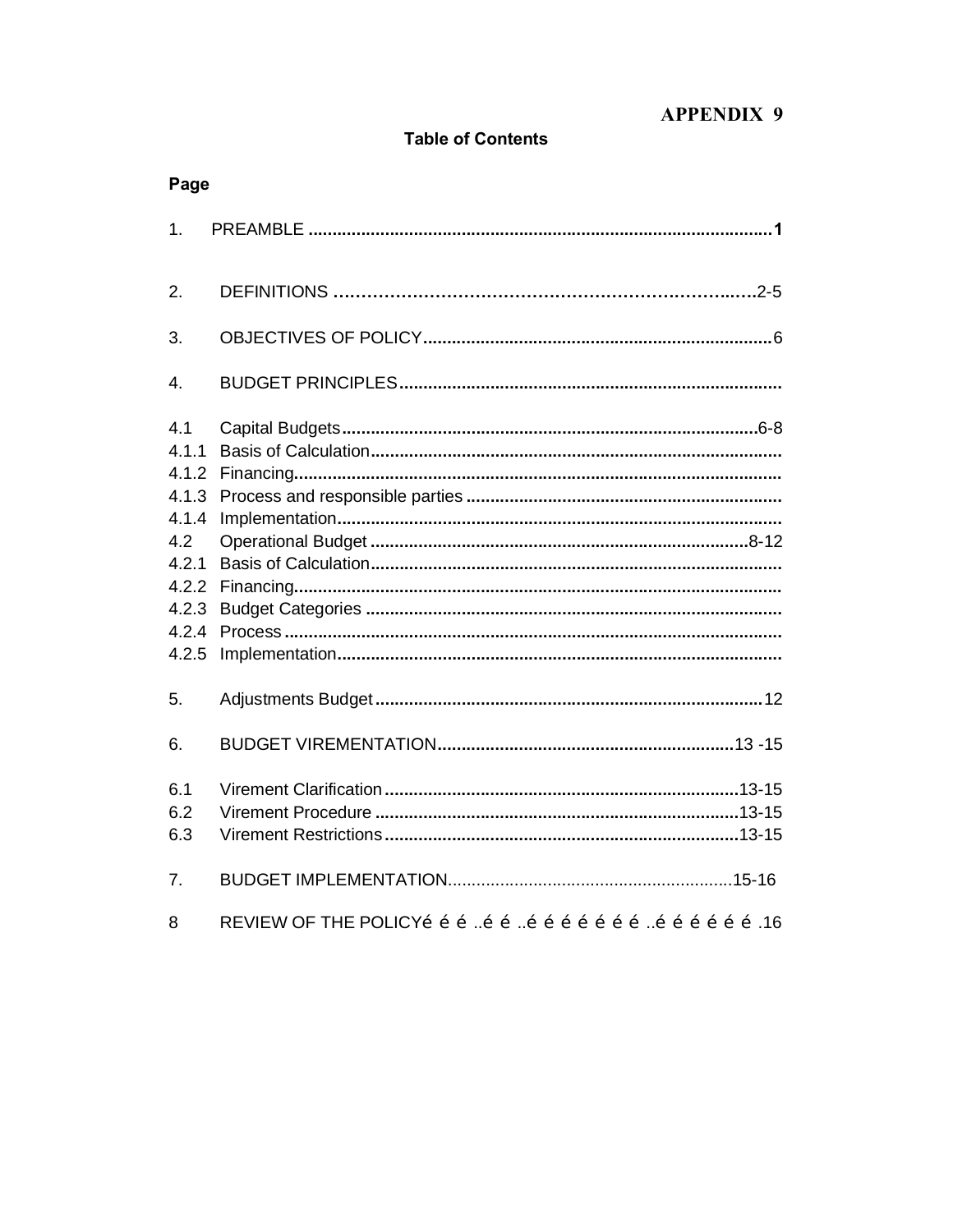# **APPENDIX 9**

# **Table of Contents**

| Page           |  |
|----------------|--|
| 1.             |  |
| 2.             |  |
| 3.             |  |
| 4.             |  |
| 4.1<br>4.1.1   |  |
| 4.1.2          |  |
| 4.1.3<br>4.1.4 |  |
| 4.2            |  |
| 4.2.1          |  |
| 4.2.2          |  |
| 4.2.3          |  |
| 4.2.4          |  |
| 4.2.5          |  |
| 5.             |  |
| 6.             |  |
| 6.1            |  |
| 6.2            |  |
| 6.3            |  |
| 7 <sub>1</sub> |  |
| 8              |  |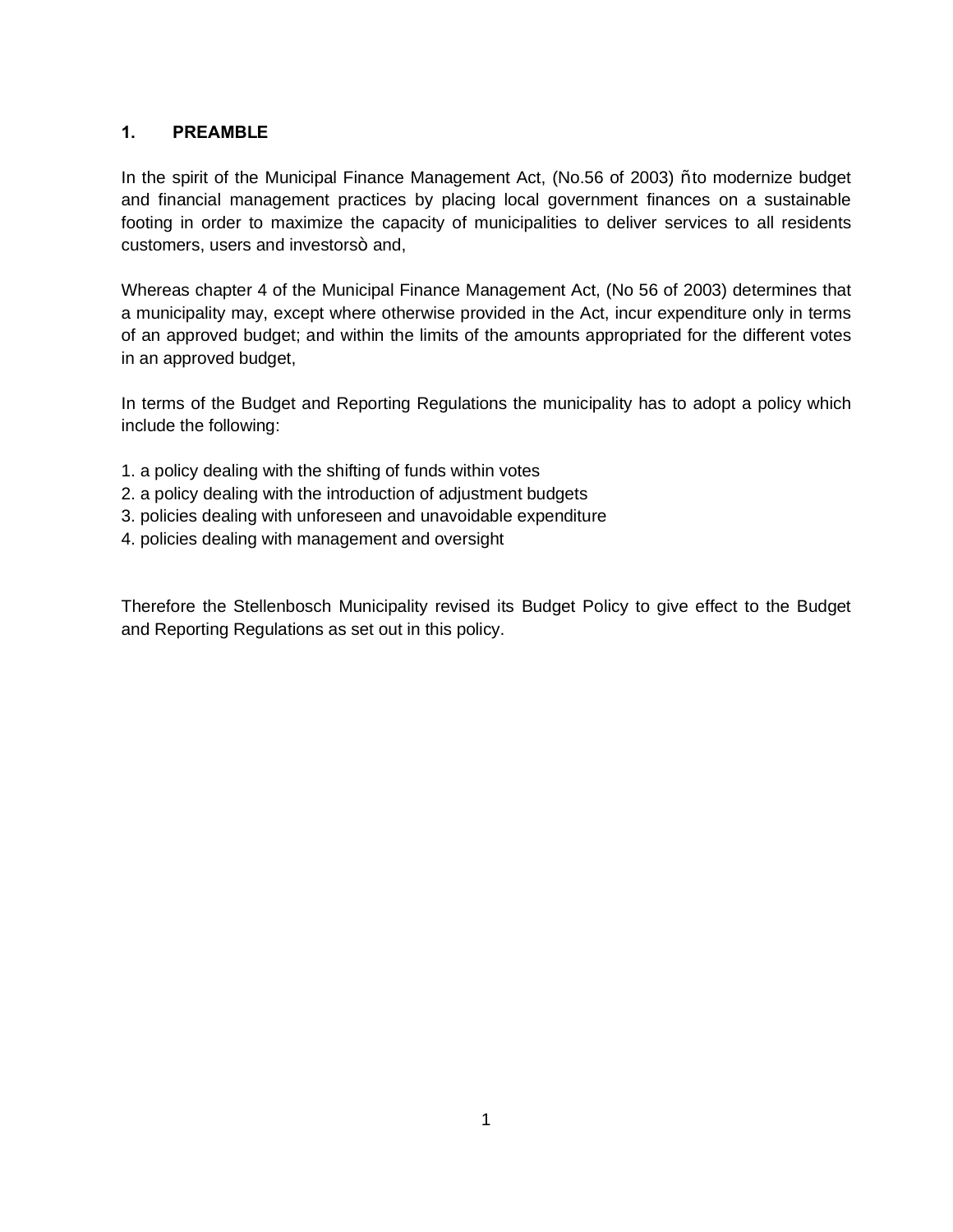# **1. PREAMBLE**

In the spirit of the Municipal Finance Management Act, (No.56 of 2003) % to modernize budget and financial management practices by placing local government finances on a sustainable footing in order to maximize the capacity of municipalities to deliver services to all residents customers, users and investors+ and,

Whereas chapter 4 of the Municipal Finance Management Act, (No 56 of 2003) determines that a municipality may, except where otherwise provided in the Act, incur expenditure only in terms of an approved budget; and within the limits of the amounts appropriated for the different votes in an approved budget,

In terms of the Budget and Reporting Regulations the municipality has to adopt a policy which include the following:

- 1. a policy dealing with the shifting of funds within votes
- 2. a policy dealing with the introduction of adjustment budgets
- 3. policies dealing with unforeseen and unavoidable expenditure
- 4. policies dealing with management and oversight

Therefore the Stellenbosch Municipality revised its Budget Policy to give effect to the Budget and Reporting Regulations as set out in this policy.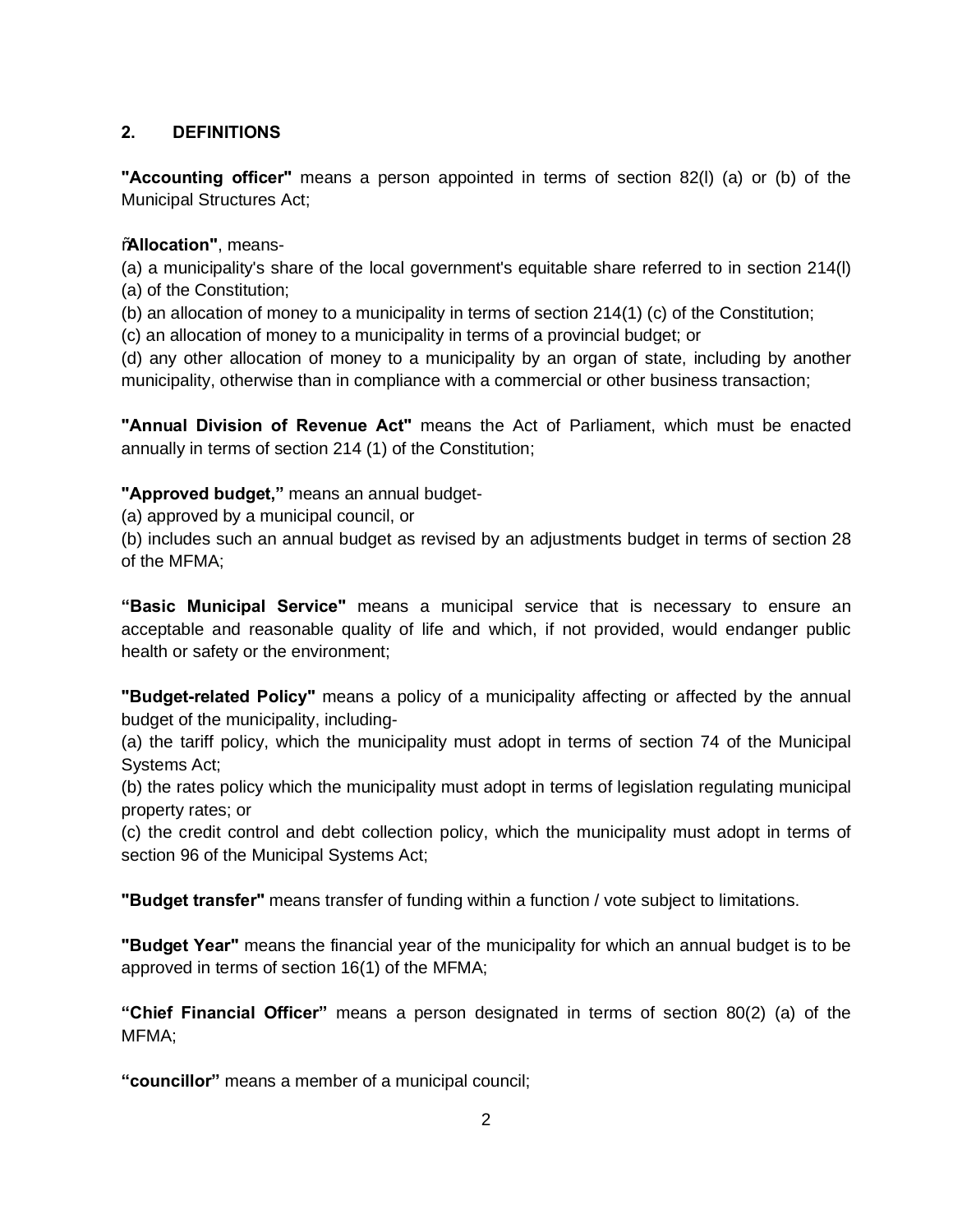# **2. DEFINITIONS**

**"Accounting officer"** means a person appointed in terms of section 82(l) (a) or (b) of the Municipal Structures Act;

# "**Allocation"**, means-

(a) a municipality's share of the local government's equitable share referred to in section 214(l) (a) of the Constitution;

(b) an allocation of money to a municipality in terms of section 214(1) (c) of the Constitution;

(c) an allocation of money to a municipality in terms of a provincial budget; or

(d) any other allocation of money to a municipality by an organ of state, including by another municipality, otherwise than in compliance with a commercial or other business transaction;

**"Annual Division of Revenue Act"** means the Act of Parliament, which must be enacted annually in terms of section 214 (1) of the Constitution;

# **"Approved budget,"** means an annual budget-

(a) approved by a municipal council, or

(b) includes such an annual budget as revised by an adjustments budget in terms of section 28 of the MFMA;

**"Basic Municipal Service"** means a municipal service that is necessary to ensure an acceptable and reasonable quality of life and which, if not provided, would endanger public health or safety or the environment;

**"Budget-related Policy"** means a policy of a municipality affecting or affected by the annual budget of the municipality, including-

(a) the tariff policy, which the municipality must adopt in terms of section 74 of the Municipal Systems Act;

(b) the rates policy which the municipality must adopt in terms of legislation regulating municipal property rates; or

(c) the credit control and debt collection policy, which the municipality must adopt in terms of section 96 of the Municipal Systems Act;

**"Budget transfer"** means transfer of funding within a function / vote subject to limitations.

**"Budget Year"** means the financial year of the municipality for which an annual budget is to be approved in terms of section 16(1) of the MFMA;

**"Chief Financial Officer"** means a person designated in terms of section 80(2) (a) of the MFMA;

**"councillor"** means a member of a municipal council;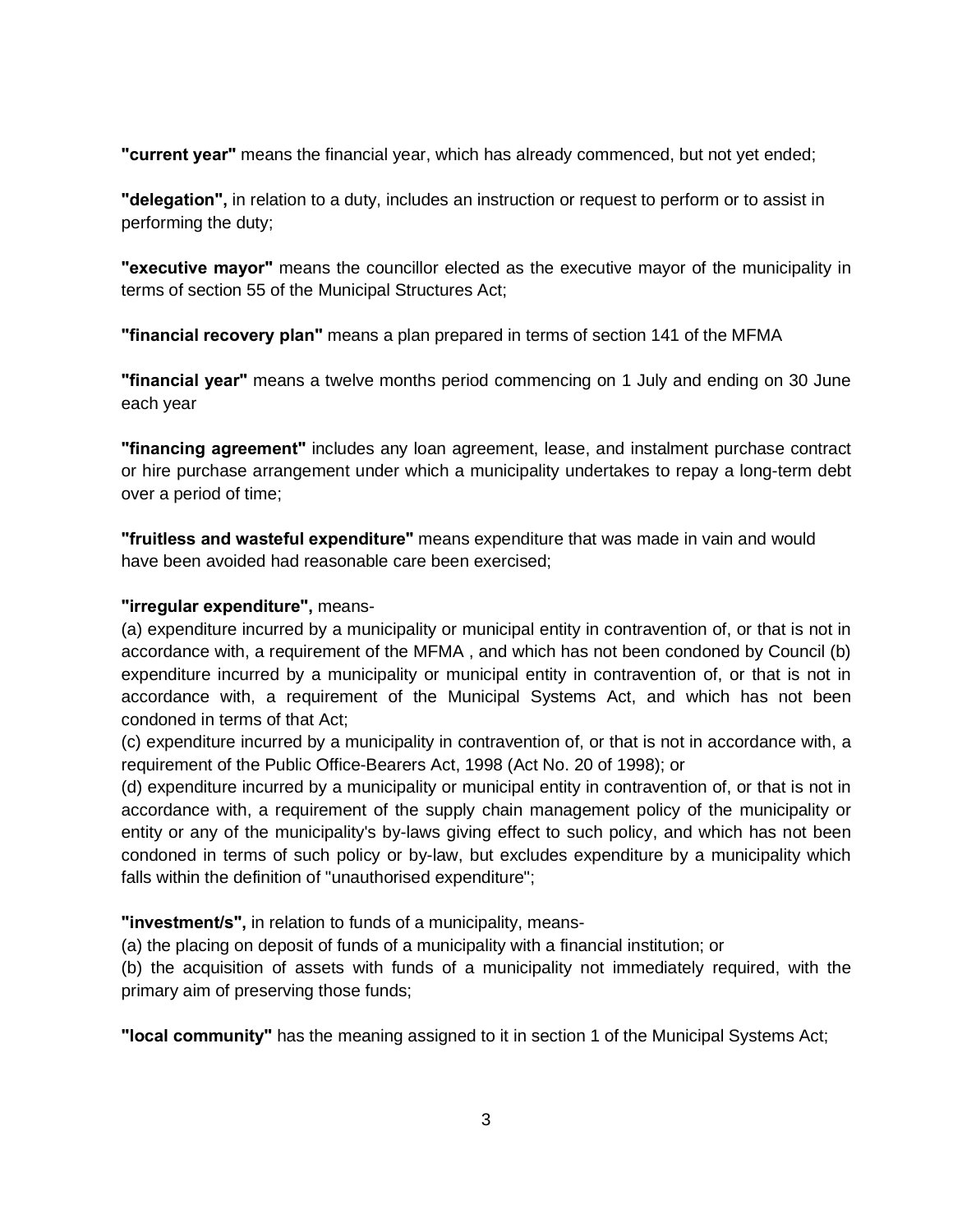**"current year"** means the financial year, which has already commenced, but not yet ended;

**"delegation",** in relation to a duty, includes an instruction or request to perform or to assist in performing the duty;

**"executive mayor"** means the councillor elected as the executive mayor of the municipality in terms of section 55 of the Municipal Structures Act;

**"financial recovery plan"** means a plan prepared in terms of section 141 of the MFMA

**"financial year"** means a twelve months period commencing on 1 July and ending on 30 June each year

**"financing agreement"** includes any loan agreement, lease, and instalment purchase contract or hire purchase arrangement under which a municipality undertakes to repay a long-term debt over a period of time;

**"fruitless and wasteful expenditure"** means expenditure that was made in vain and would have been avoided had reasonable care been exercised;

#### **"irregular expenditure",** means-

(a) expenditure incurred by a municipality or municipal entity in contravention of, or that is not in accordance with, a requirement of the MFMA , and which has not been condoned by Council (b) expenditure incurred by a municipality or municipal entity in contravention of, or that is not in accordance with, a requirement of the Municipal Systems Act, and which has not been condoned in terms of that Act;

(c) expenditure incurred by a municipality in contravention of, or that is not in accordance with, a requirement of the Public Office-Bearers Act, 1998 (Act No. 20 of 1998); or

(d) expenditure incurred by a municipality or municipal entity in contravention of, or that is not in accordance with, a requirement of the supply chain management policy of the municipality or entity or any of the municipality's by-laws giving effect to such policy, and which has not been condoned in terms of such policy or by-law, but excludes expenditure by a municipality which falls within the definition of "unauthorised expenditure";

**"investment/s",** in relation to funds of a municipality, means-

(a) the placing on deposit of funds of a municipality with a financial institution; or

(b) the acquisition of assets with funds of a municipality not immediately required, with the primary aim of preserving those funds;

**"local community"** has the meaning assigned to it in section 1 of the Municipal Systems Act;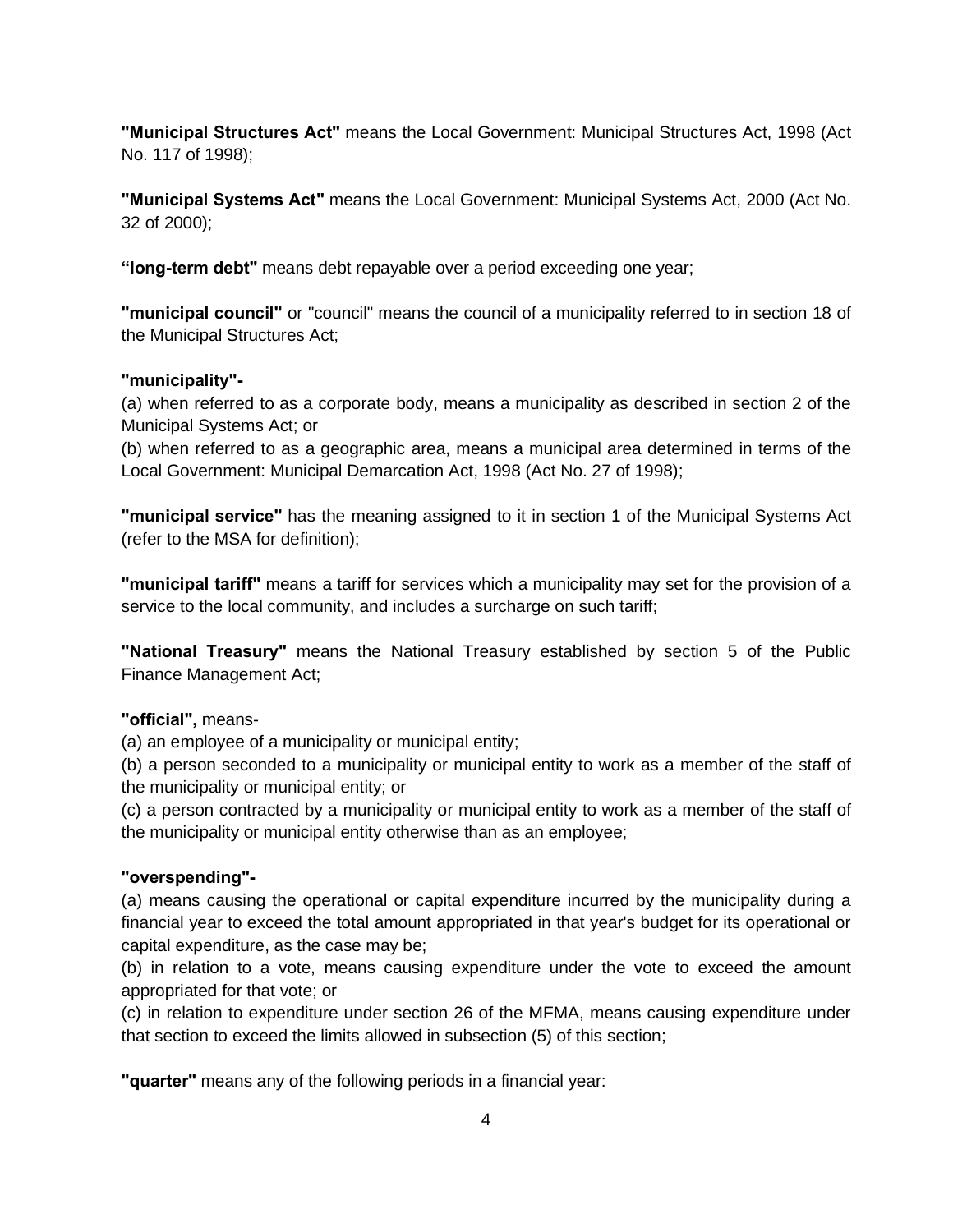**"Municipal Structures Act"** means the Local Government: Municipal Structures Act, 1998 (Act No. 117 of 1998);

**"Municipal Systems Act"** means the Local Government: Municipal Systems Act, 2000 (Act No. 32 of 2000);

**"long-term debt"** means debt repayable over a period exceeding one year;

**"municipal council"** or "council" means the council of a municipality referred to in section 18 of the Municipal Structures Act;

#### **"municipality"-**

(a) when referred to as a corporate body, means a municipality as described in section 2 of the Municipal Systems Act; or

(b) when referred to as a geographic area, means a municipal area determined in terms of the Local Government: Municipal Demarcation Act, 1998 (Act No. 27 of 1998);

**"municipal service"** has the meaning assigned to it in section 1 of the Municipal Systems Act (refer to the MSA for definition);

**"municipal tariff"** means a tariff for services which a municipality may set for the provision of a service to the local community, and includes a surcharge on such tariff;

**"National Treasury"** means the National Treasury established by section 5 of the Public Finance Management Act;

#### **"official",** means-

(a) an employee of a municipality or municipal entity;

(b) a person seconded to a municipality or municipal entity to work as a member of the staff of the municipality or municipal entity; or

(c) a person contracted by a municipality or municipal entity to work as a member of the staff of the municipality or municipal entity otherwise than as an employee;

#### **"overspending"-**

(a) means causing the operational or capital expenditure incurred by the municipality during a financial year to exceed the total amount appropriated in that year's budget for its operational or capital expenditure, as the case may be;

(b) in relation to a vote, means causing expenditure under the vote to exceed the amount appropriated for that vote; or

(c) in relation to expenditure under section 26 of the MFMA, means causing expenditure under that section to exceed the limits allowed in subsection (5) of this section;

**"quarter"** means any of the following periods in a financial year: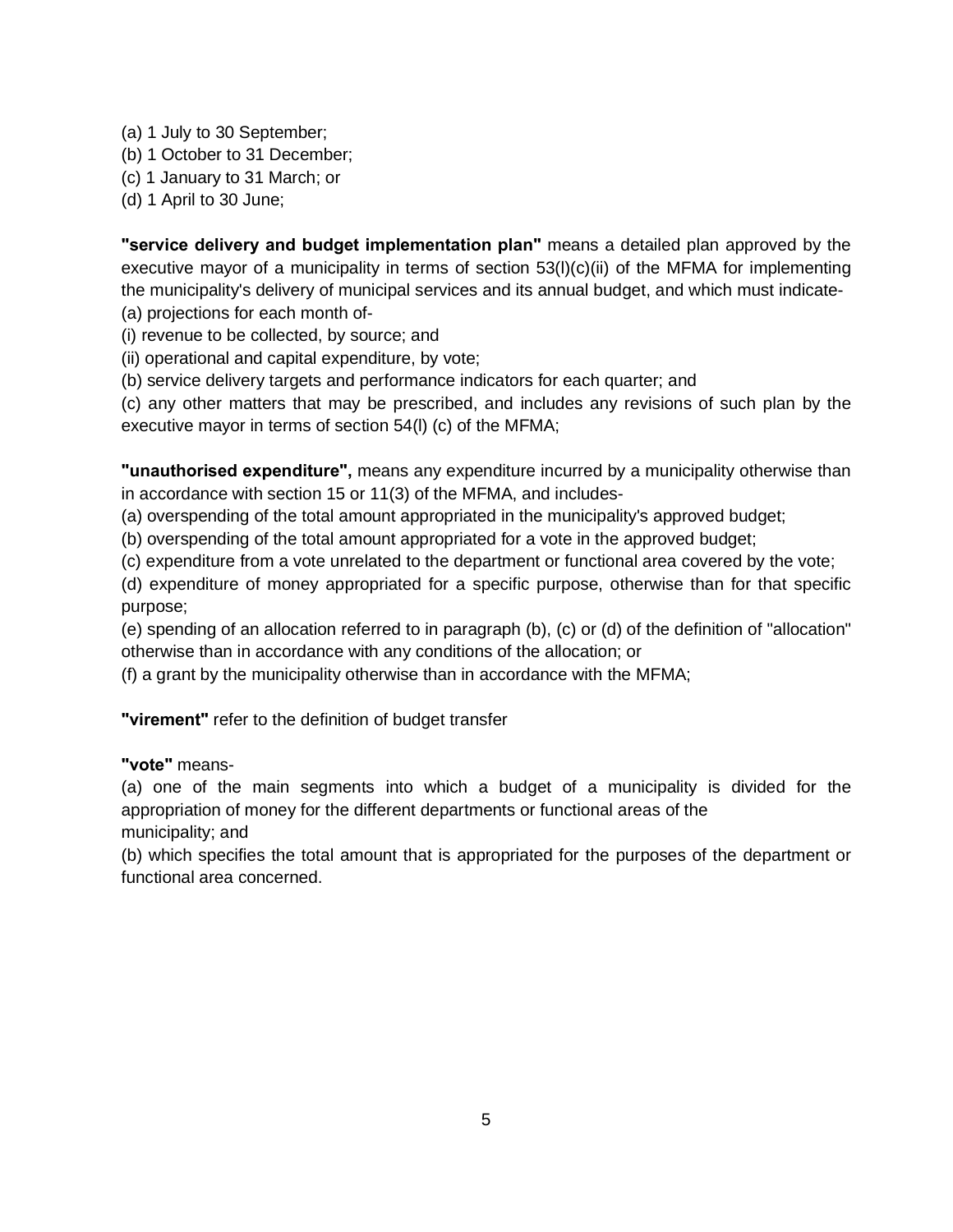(a) 1 July to 30 September;

- (b) 1 October to 31 December;
- (c) 1 January to 31 March; or

(d) 1 April to 30 June;

**"service delivery and budget implementation plan"** means a detailed plan approved by the executive mayor of a municipality in terms of section  $53(1)(c)(ii)$  of the MFMA for implementing the municipality's delivery of municipal services and its annual budget, and which must indicate- (a) projections for each month of-

(i) revenue to be collected, by source; and

(ii) operational and capital expenditure, by vote;

(b) service delivery targets and performance indicators for each quarter; and

(c) any other matters that may be prescribed, and includes any revisions of such plan by the executive mayor in terms of section 54(l) (c) of the MFMA;

**"unauthorised expenditure",** means any expenditure incurred by a municipality otherwise than in accordance with section 15 or 11(3) of the MFMA, and includes-

(a) overspending of the total amount appropriated in the municipality's approved budget;

(b) overspending of the total amount appropriated for a vote in the approved budget;

(c) expenditure from a vote unrelated to the department or functional area covered by the vote;

(d) expenditure of money appropriated for a specific purpose, otherwise than for that specific purpose;

(e) spending of an allocation referred to in paragraph (b), (c) or (d) of the definition of "allocation" otherwise than in accordance with any conditions of the allocation; or

(f) a grant by the municipality otherwise than in accordance with the MFMA;

**"virement"** refer to the definition of budget transfer

# **"vote"** means-

(a) one of the main segments into which a budget of a municipality is divided for the appropriation of money for the different departments or functional areas of the municipality; and

(b) which specifies the total amount that is appropriated for the purposes of the department or functional area concerned.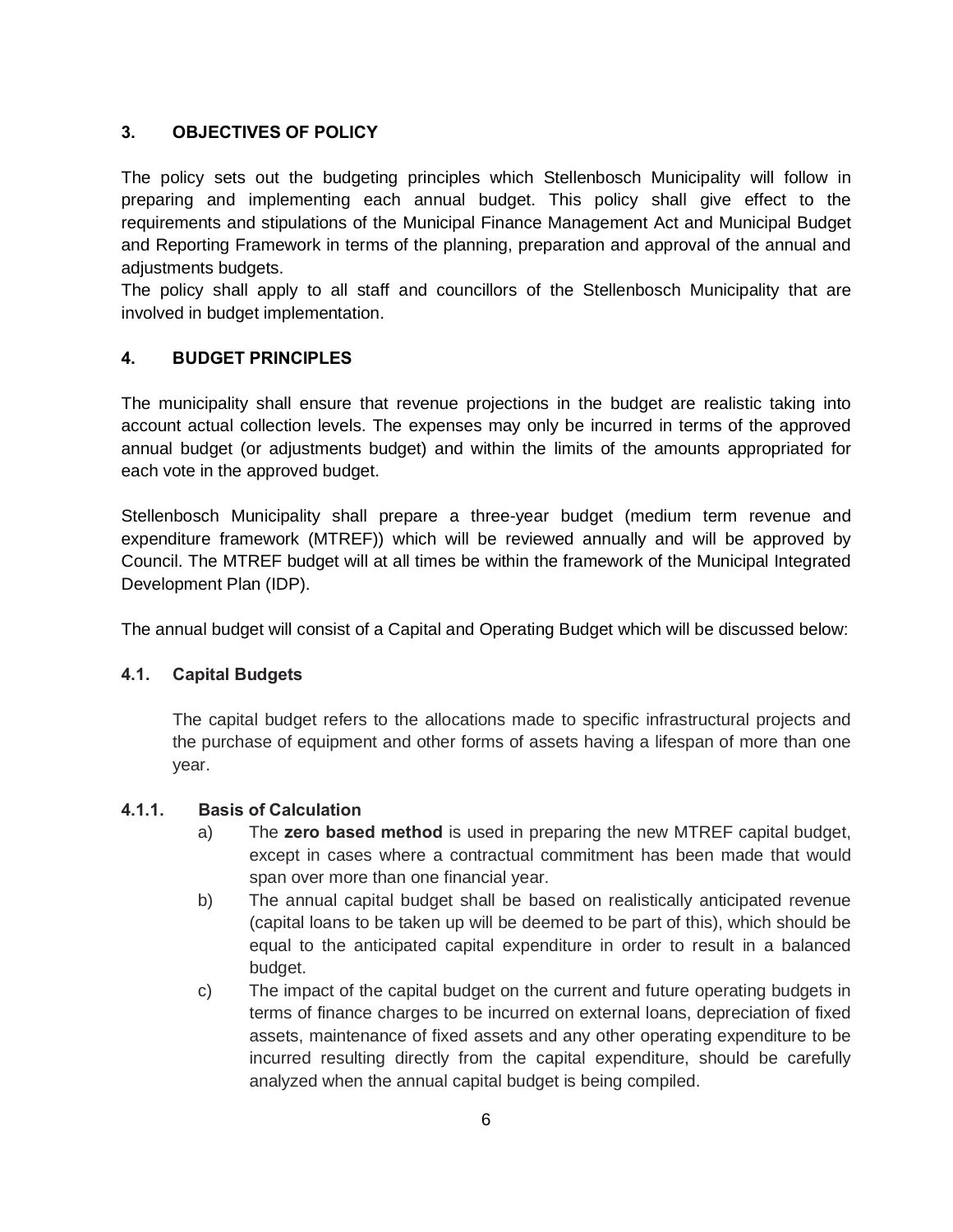# **3. OBJECTIVES OF POLICY**

The policy sets out the budgeting principles which Stellenbosch Municipality will follow in preparing and implementing each annual budget. This policy shall give effect to the requirements and stipulations of the Municipal Finance Management Act and Municipal Budget and Reporting Framework in terms of the planning, preparation and approval of the annual and adjustments budgets.

The policy shall apply to all staff and councillors of the Stellenbosch Municipality that are involved in budget implementation.

#### **4. BUDGET PRINCIPLES**

The municipality shall ensure that revenue projections in the budget are realistic taking into account actual collection levels. The expenses may only be incurred in terms of the approved annual budget (or adjustments budget) and within the limits of the amounts appropriated for each vote in the approved budget.

Stellenbosch Municipality shall prepare a three-year budget (medium term revenue and expenditure framework (MTREF)) which will be reviewed annually and will be approved by Council. The MTREF budget will at all times be within the framework of the Municipal Integrated Development Plan (IDP).

The annual budget will consist of a Capital and Operating Budget which will be discussed below:

#### **4.1. Capital Budgets**

The capital budget refers to the allocations made to specific infrastructural projects and the purchase of equipment and other forms of assets having a lifespan of more than one year.

#### **4.1.1. Basis of Calculation**

- a) The **zero based method** is used in preparing the new MTREF capital budget, except in cases where a contractual commitment has been made that would span over more than one financial year.
- b) The annual capital budget shall be based on realistically anticipated revenue (capital loans to be taken up will be deemed to be part of this), which should be equal to the anticipated capital expenditure in order to result in a balanced budget.
- c) The impact of the capital budget on the current and future operating budgets in terms of finance charges to be incurred on external loans, depreciation of fixed assets, maintenance of fixed assets and any other operating expenditure to be incurred resulting directly from the capital expenditure, should be carefully analyzed when the annual capital budget is being compiled.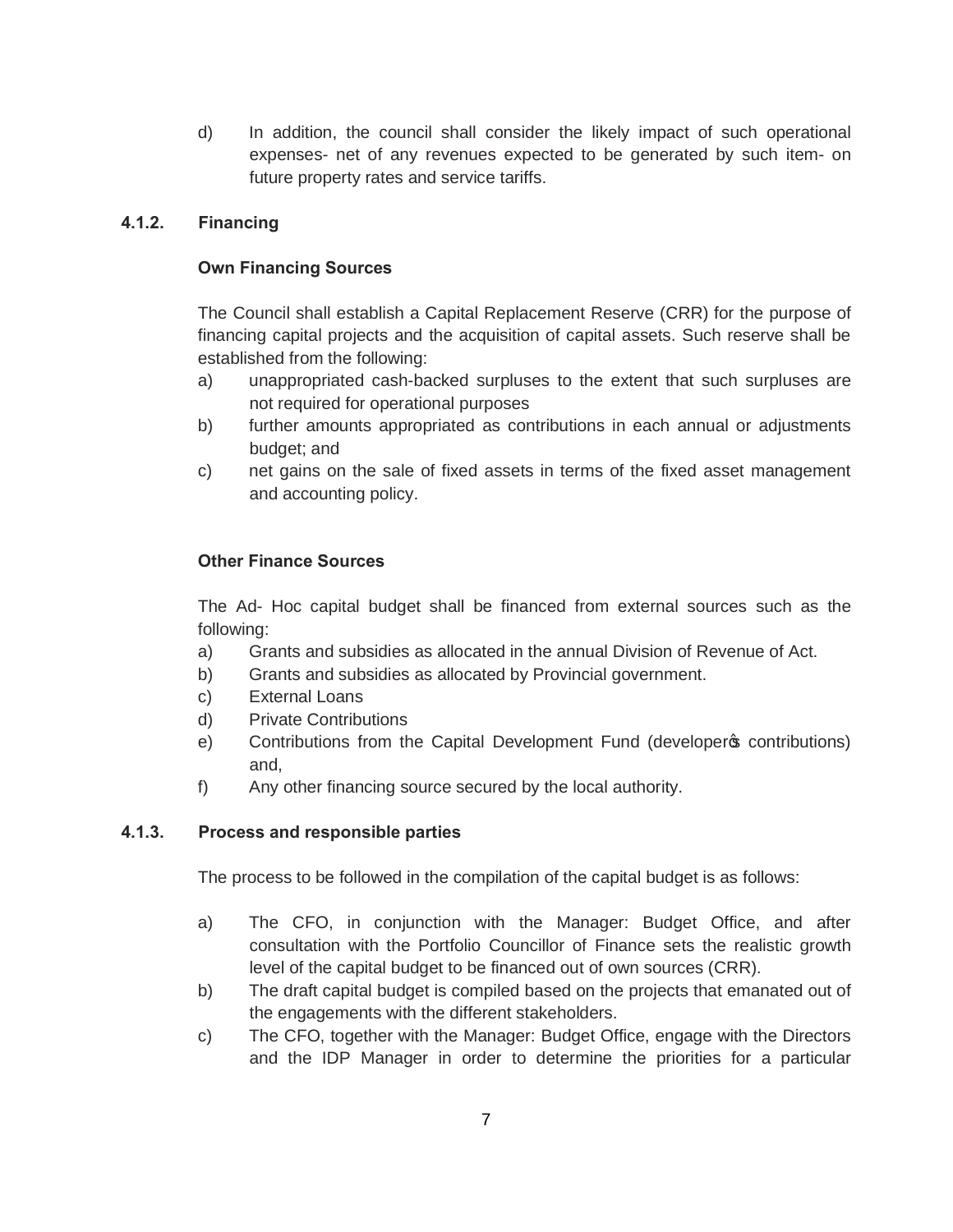d) In addition, the council shall consider the likely impact of such operational expenses- net of any revenues expected to be generated by such item- on future property rates and service tariffs.

#### **4.1.2. Financing**

#### **Own Financing Sources**

The Council shall establish a Capital Replacement Reserve (CRR) for the purpose of financing capital projects and the acquisition of capital assets. Such reserve shall be established from the following:

- a) unappropriated cash-backed surpluses to the extent that such surpluses are not required for operational purposes
- b) further amounts appropriated as contributions in each annual or adjustments budget; and
- c) net gains on the sale of fixed assets in terms of the fixed asset management and accounting policy.

# **Other Finance Sources**

The Ad- Hoc capital budget shall be financed from external sources such as the following:

- a) Grants and subsidies as allocated in the annual Division of Revenue of Act.
- b) Grants and subsidies as allocated by Provincial government.
- c) External Loans
- d) Private Contributions
- e) Contributions from the Capital Development Fund (developer ocntributions) and,
- f) Any other financing source secured by the local authority.

# **4.1.3. Process and responsible parties**

The process to be followed in the compilation of the capital budget is as follows:

- a) The CFO, in conjunction with the Manager: Budget Office, and after consultation with the Portfolio Councillor of Finance sets the realistic growth level of the capital budget to be financed out of own sources (CRR).
- b) The draft capital budget is compiled based on the projects that emanated out of the engagements with the different stakeholders.
- c) The CFO, together with the Manager: Budget Office, engage with the Directors and the IDP Manager in order to determine the priorities for a particular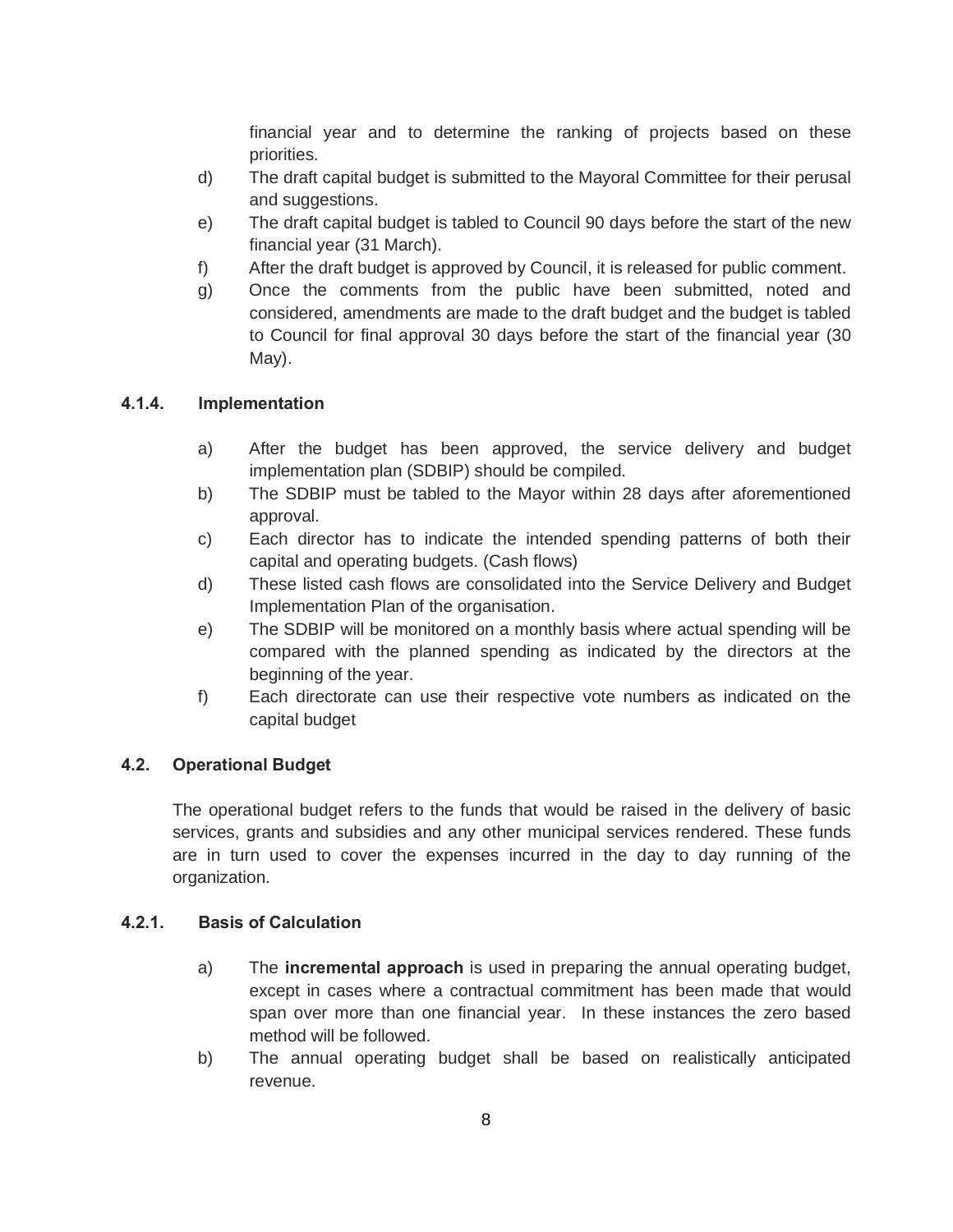financial year and to determine the ranking of projects based on these priorities.

- d) The draft capital budget is submitted to the Mayoral Committee for their perusal and suggestions.
- e) The draft capital budget is tabled to Council 90 days before the start of the new financial year (31 March).
- f) After the draft budget is approved by Council, it is released for public comment.
- g) Once the comments from the public have been submitted, noted and considered, amendments are made to the draft budget and the budget is tabled to Council for final approval 30 days before the start of the financial year (30 May).

# **4.1.4. Implementation**

- a) After the budget has been approved, the service delivery and budget implementation plan (SDBIP) should be compiled.
- b) The SDBIP must be tabled to the Mayor within 28 days after aforementioned approval.
- c) Each director has to indicate the intended spending patterns of both their capital and operating budgets. (Cash flows)
- d) These listed cash flows are consolidated into the Service Delivery and Budget Implementation Plan of the organisation.
- e) The SDBIP will be monitored on a monthly basis where actual spending will be compared with the planned spending as indicated by the directors at the beginning of the year.
- f) Each directorate can use their respective vote numbers as indicated on the capital budget

#### **4.2. Operational Budget**

The operational budget refers to the funds that would be raised in the delivery of basic services, grants and subsidies and any other municipal services rendered. These funds are in turn used to cover the expenses incurred in the day to day running of the organization.

#### **4.2.1. Basis of Calculation**

- a) The **incremental approach** is used in preparing the annual operating budget, except in cases where a contractual commitment has been made that would span over more than one financial year. In these instances the zero based method will be followed.
- b) The annual operating budget shall be based on realistically anticipated revenue.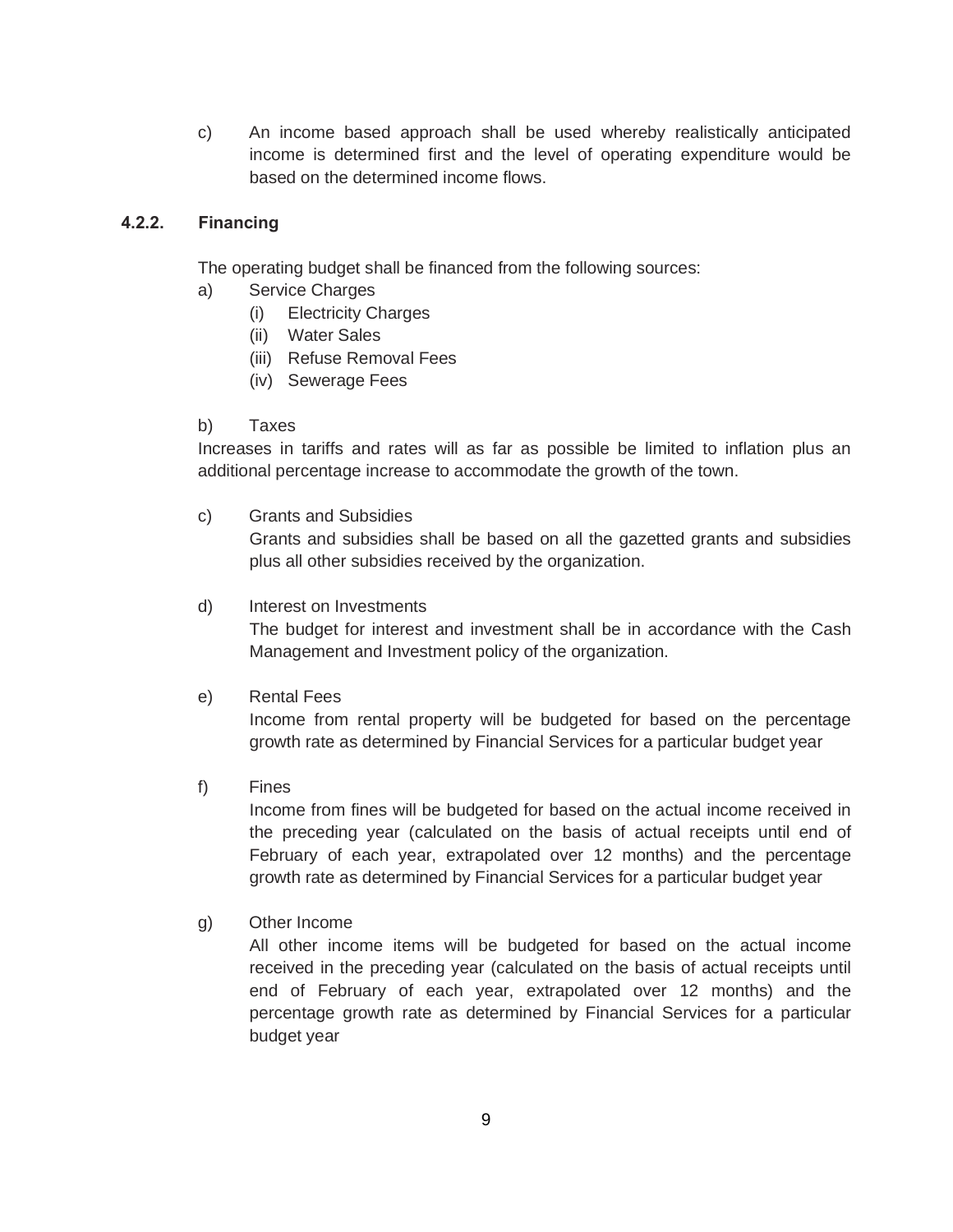c) An income based approach shall be used whereby realistically anticipated income is determined first and the level of operating expenditure would be based on the determined income flows.

#### **4.2.2. Financing**

The operating budget shall be financed from the following sources:

- a) Service Charges
	- (i) Electricity Charges
	- (ii) Water Sales
	- (iii) Refuse Removal Fees
	- (iv) Sewerage Fees

#### b) Taxes

Increases in tariffs and rates will as far as possible be limited to inflation plus an additional percentage increase to accommodate the growth of the town.

c) Grants and Subsidies

Grants and subsidies shall be based on all the gazetted grants and subsidies plus all other subsidies received by the organization.

#### d) Interest on Investments

The budget for interest and investment shall be in accordance with the Cash Management and Investment policy of the organization.

#### e) Rental Fees

Income from rental property will be budgeted for based on the percentage growth rate as determined by Financial Services for a particular budget year

f) Fines

Income from fines will be budgeted for based on the actual income received in the preceding year (calculated on the basis of actual receipts until end of February of each year, extrapolated over 12 months) and the percentage growth rate as determined by Financial Services for a particular budget year

#### g) Other Income

All other income items will be budgeted for based on the actual income received in the preceding year (calculated on the basis of actual receipts until end of February of each year, extrapolated over 12 months) and the percentage growth rate as determined by Financial Services for a particular budget year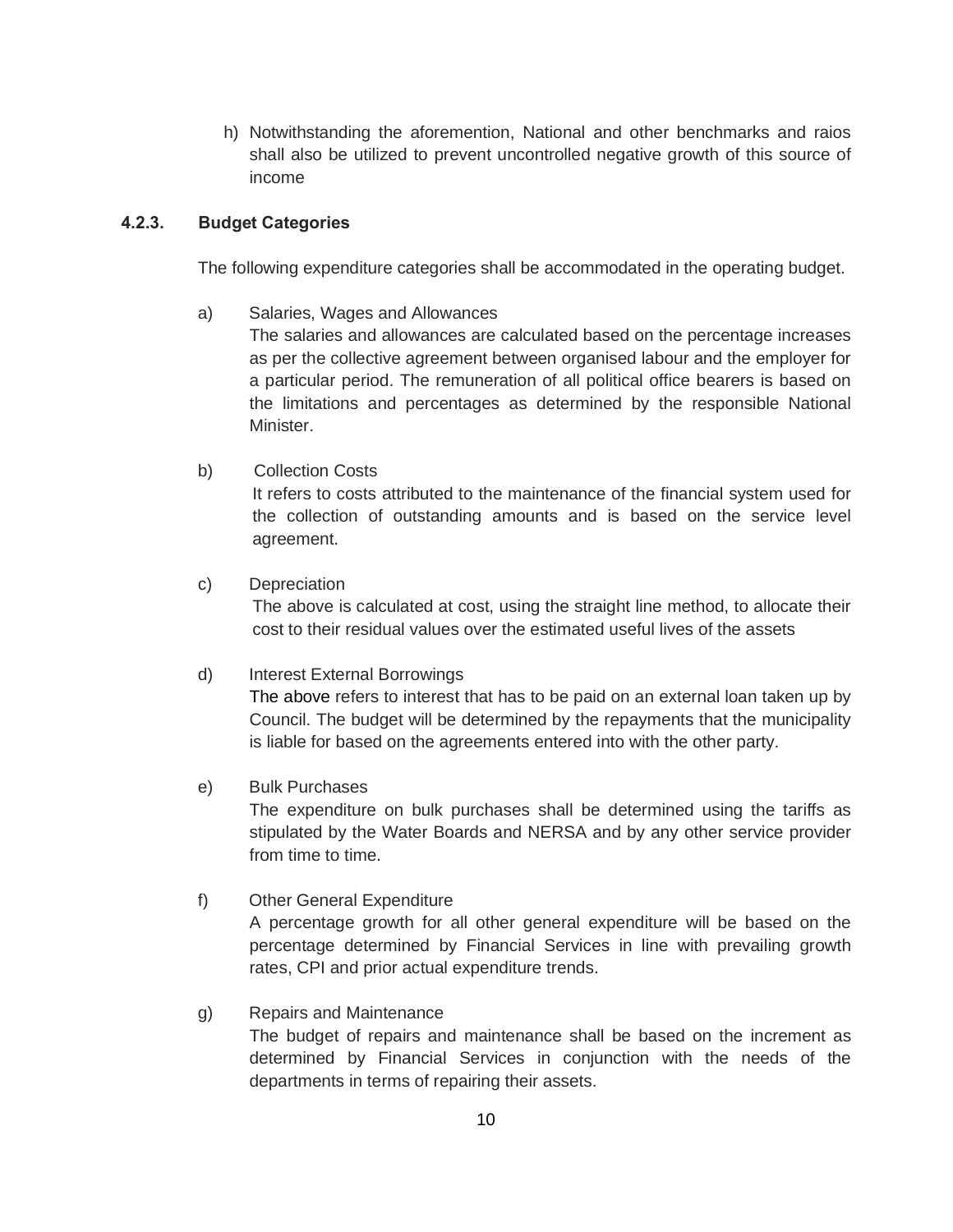h) Notwithstanding the aforemention, National and other benchmarks and raios shall also be utilized to prevent uncontrolled negative growth of this source of income

#### **4.2.3. Budget Categories**

The following expenditure categories shall be accommodated in the operating budget.

a) Salaries, Wages and Allowances

The salaries and allowances are calculated based on the percentage increases as per the collective agreement between organised labour and the employer for a particular period. The remuneration of all political office bearers is based on the limitations and percentages as determined by the responsible National Minister.

b) Collection Costs

It refers to costs attributed to the maintenance of the financial system used for the collection of outstanding amounts and is based on the service level agreement.

c) Depreciation

The above is calculated at cost, using the straight line method, to allocate their cost to their residual values over the estimated useful lives of the assets

#### d) Interest External Borrowings

The above refers to interest that has to be paid on an external loan taken up by Council. The budget will be determined by the repayments that the municipality is liable for based on the agreements entered into with the other party.

#### e) Bulk Purchases

The expenditure on bulk purchases shall be determined using the tariffs as stipulated by the Water Boards and NERSA and by any other service provider from time to time.

#### f) Other General Expenditure

A percentage growth for all other general expenditure will be based on the percentage determined by Financial Services in line with prevailing growth rates, CPI and prior actual expenditure trends.

#### g) Repairs and Maintenance

The budget of repairs and maintenance shall be based on the increment as determined by Financial Services in conjunction with the needs of the departments in terms of repairing their assets.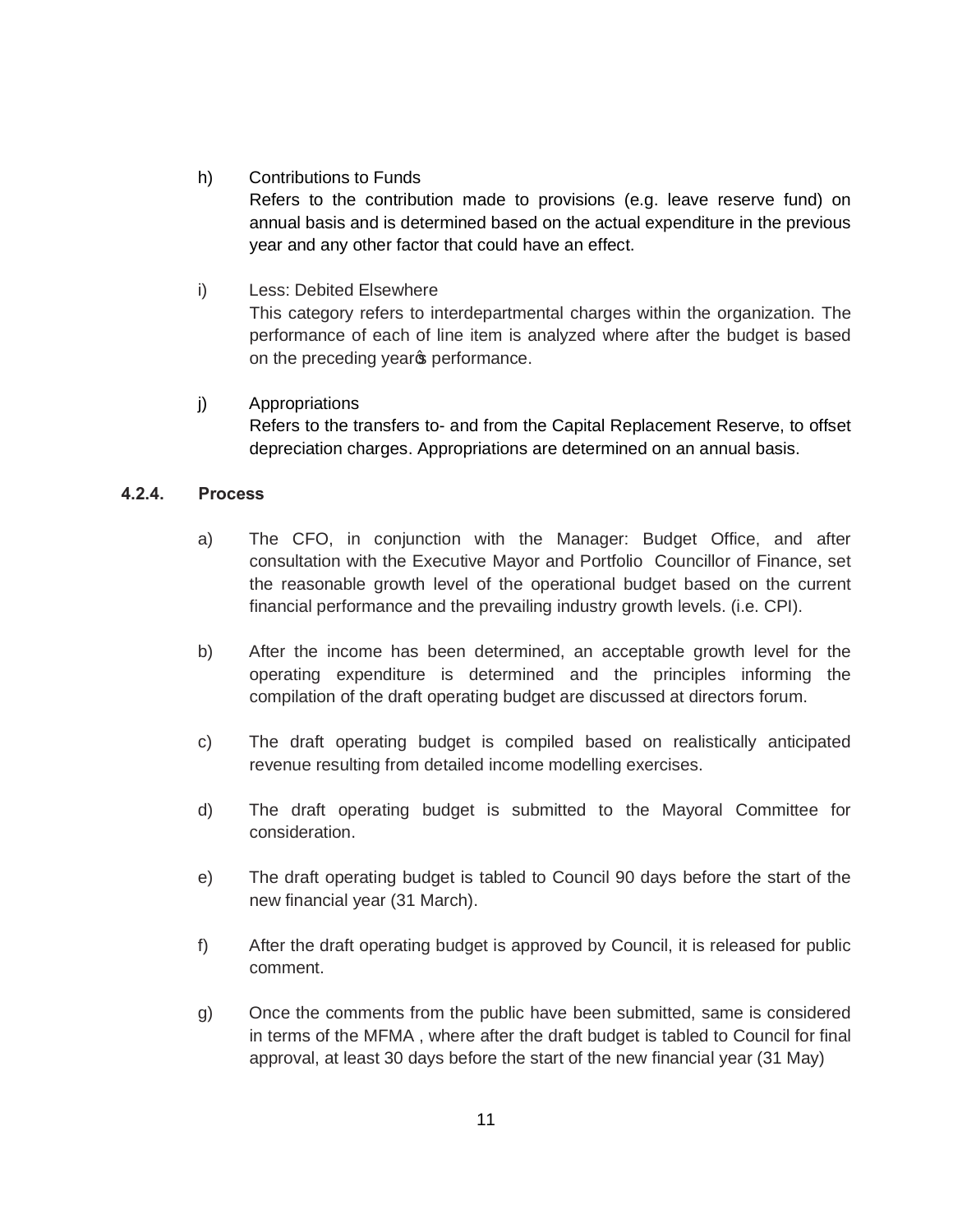#### h) Contributions to Funds

Refers to the contribution made to provisions (e.g. leave reserve fund) on annual basis and is determined based on the actual expenditure in the previous year and any other factor that could have an effect.

#### i) Less: Debited Elsewhere

This category refers to interdepartmental charges within the organization. The performance of each of line item is analyzed where after the budget is based on the preceding years performance.

# j) Appropriations

Refers to the transfers to- and from the Capital Replacement Reserve, to offset depreciation charges. Appropriations are determined on an annual basis.

#### **4.2.4. Process**

- a) The CFO, in conjunction with the Manager: Budget Office, and after consultation with the Executive Mayor and Portfolio Councillor of Finance, set the reasonable growth level of the operational budget based on the current financial performance and the prevailing industry growth levels. (i.e. CPI).
- b) After the income has been determined, an acceptable growth level for the operating expenditure is determined and the principles informing the compilation of the draft operating budget are discussed at directors forum.
- c) The draft operating budget is compiled based on realistically anticipated revenue resulting from detailed income modelling exercises.
- d) The draft operating budget is submitted to the Mayoral Committee for consideration.
- e) The draft operating budget is tabled to Council 90 days before the start of the new financial year (31 March).
- f) After the draft operating budget is approved by Council, it is released for public comment.
- g) Once the comments from the public have been submitted, same is considered in terms of the MFMA , where after the draft budget is tabled to Council for final approval, at least 30 days before the start of the new financial year (31 May)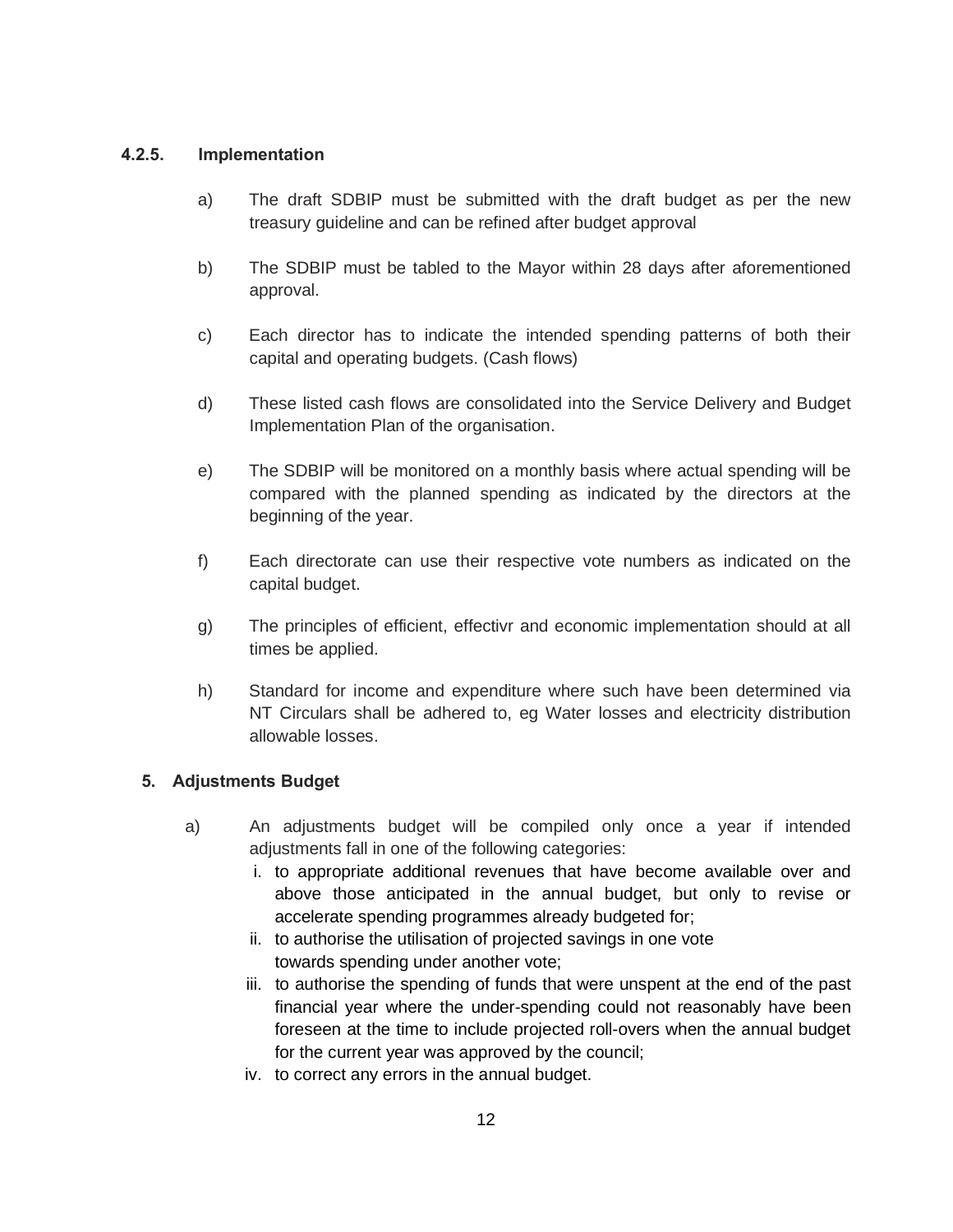#### **4.2.5. Implementation**

- a) The draft SDBIP must be submitted with the draft budget as per the new treasury guideline and can be refined after budget approval
- b) The SDBIP must be tabled to the Mayor within 28 days after aforementioned approval.
- c) Each director has to indicate the intended spending patterns of both their capital and operating budgets. (Cash flows)
- d) These listed cash flows are consolidated into the Service Delivery and Budget Implementation Plan of the organisation.
- e) The SDBIP will be monitored on a monthly basis where actual spending will be compared with the planned spending as indicated by the directors at the beginning of the year.
- f) Each directorate can use their respective vote numbers as indicated on the capital budget.
- g) The principles of efficient, effectivr and economic implementation should at all times be applied.
- h) Standard for income and expenditure where such have been determined via NT Circulars shall be adhered to, eg Water losses and electricity distribution allowable losses.

#### **5. Adjustments Budget**

- a) An adjustments budget will be compiled only once a year if intended adjustments fall in one of the following categories:
	- i. to appropriate additional revenues that have become available over and above those anticipated in the annual budget, but only to revise or accelerate spending programmes already budgeted for;
	- ii. to authorise the utilisation of projected savings in one vote towards spending under another vote;
	- iii. to authorise the spending of funds that were unspent at the end of the past financial year where the under-spending could not reasonably have been foreseen at the time to include projected roll-overs when the annual budget for the current year was approved by the council;
	- iv. to correct any errors in the annual budget.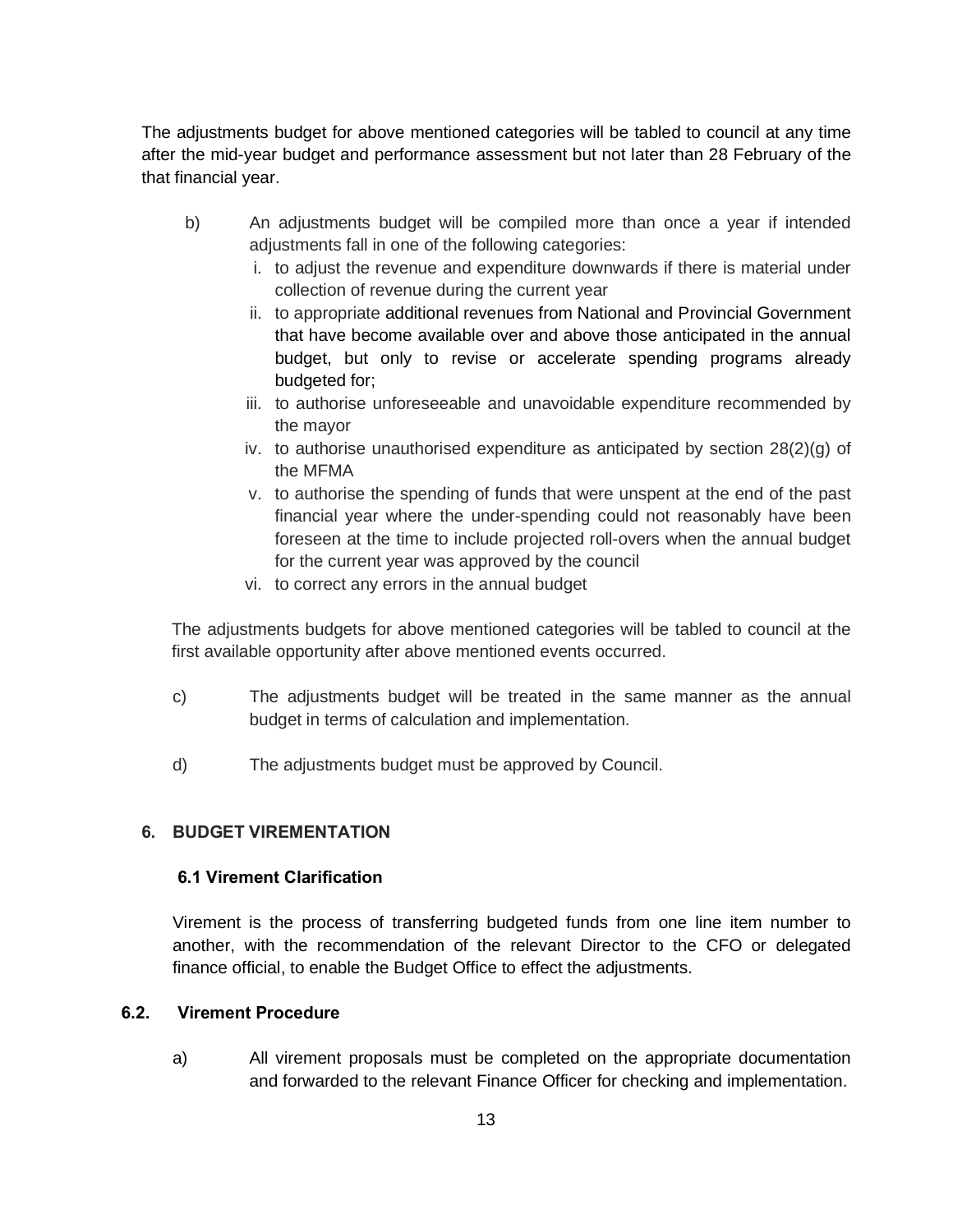The adjustments budget for above mentioned categories will be tabled to council at any time after the mid-year budget and performance assessment but not later than 28 February of the that financial year.

- b) An adjustments budget will be compiled more than once a year if intended adjustments fall in one of the following categories:
	- i. to adjust the revenue and expenditure downwards if there is material under collection of revenue during the current year
	- ii. to appropriate additional revenues from National and Provincial Government that have become available over and above those anticipated in the annual budget, but only to revise or accelerate spending programs already budgeted for;
	- iii. to authorise unforeseeable and unavoidable expenditure recommended by the mayor
	- iv. to authorise unauthorised expenditure as anticipated by section  $28(2)(q)$  of the MFMA
	- v. to authorise the spending of funds that were unspent at the end of the past financial year where the under-spending could not reasonably have been foreseen at the time to include projected roll-overs when the annual budget for the current year was approved by the council
	- vi. to correct any errors in the annual budget

The adjustments budgets for above mentioned categories will be tabled to council at the first available opportunity after above mentioned events occurred.

- c) The adjustments budget will be treated in the same manner as the annual budget in terms of calculation and implementation.
- d) The adjustments budget must be approved by Council.

# **6. BUDGET VIREMENTATION**

#### **6.1 Virement Clarification**

Virement is the process of transferring budgeted funds from one line item number to another, with the recommendation of the relevant Director to the CFO or delegated finance official, to enable the Budget Office to effect the adjustments.

#### **6.2. Virement Procedure**

a) All virement proposals must be completed on the appropriate documentation and forwarded to the relevant Finance Officer for checking and implementation.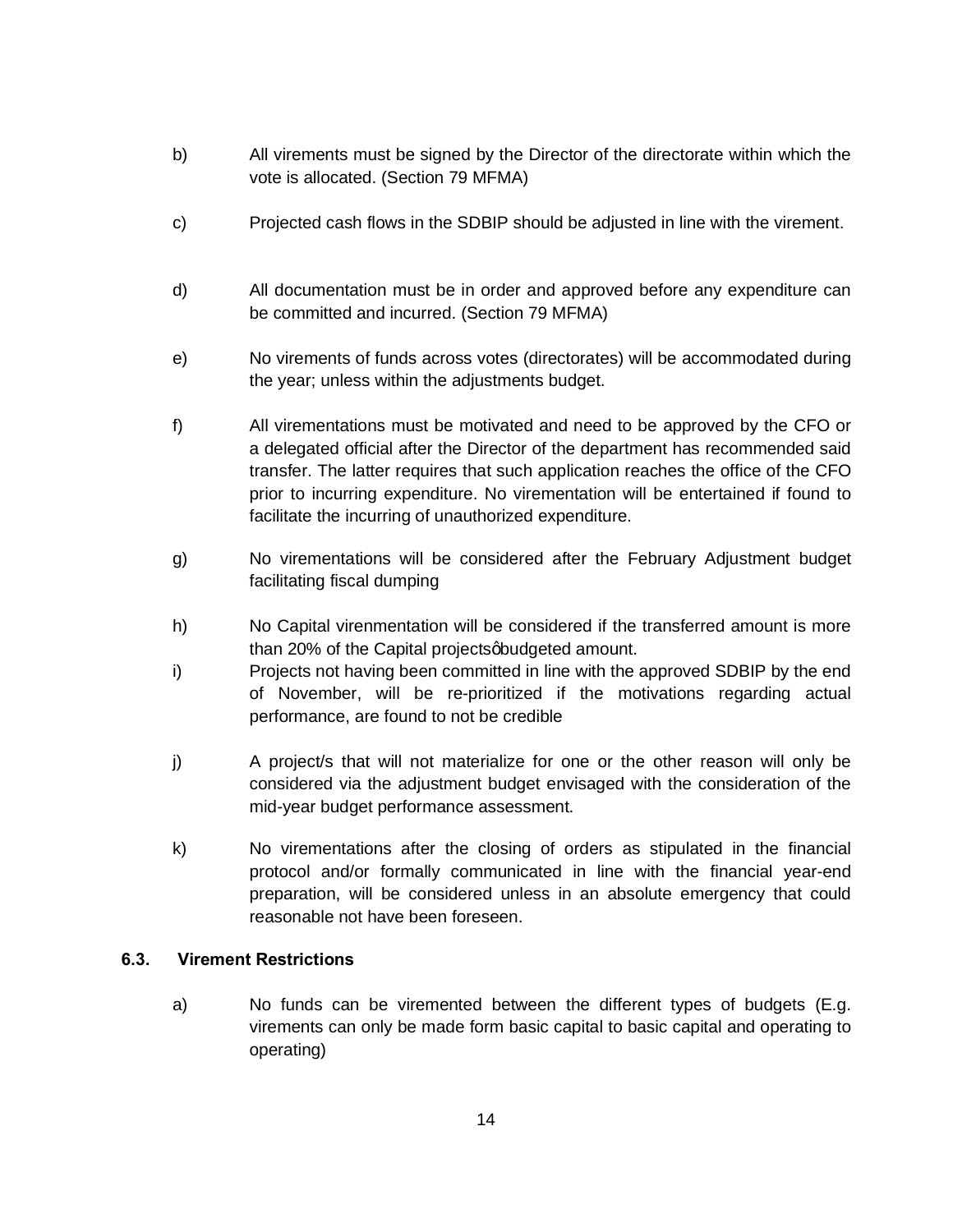- b) All virements must be signed by the Director of the directorate within which the vote is allocated. (Section 79 MFMA)
- c) Projected cash flows in the SDBIP should be adjusted in line with the virement.
- d) All documentation must be in order and approved before any expenditure can be committed and incurred. (Section 79 MFMA)
- e) No virements of funds across votes (directorates) will be accommodated during the year; unless within the adjustments budget.
- f) All virementations must be motivated and need to be approved by the CFO or a delegated official after the Director of the department has recommended said transfer. The latter requires that such application reaches the office of the CFO prior to incurring expenditure. No virementation will be entertained if found to facilitate the incurring of unauthorized expenditure.
- g) No virementations will be considered after the February Adjustment budget facilitating fiscal dumping
- h) No Capital virenmentation will be considered if the transferred amount is more than 20% of the Capital projects abudgeted amount.
- i) Projects not having been committed in line with the approved SDBIP by the end of November, will be re-prioritized if the motivations regarding actual performance, are found to not be credible
- j) A project/s that will not materialize for one or the other reason will only be considered via the adjustment budget envisaged with the consideration of the mid-year budget performance assessment.
- k) No virementations after the closing of orders as stipulated in the financial protocol and/or formally communicated in line with the financial year-end preparation, will be considered unless in an absolute emergency that could reasonable not have been foreseen.

#### **6.3. Virement Restrictions**

a) No funds can be viremented between the different types of budgets (E.g. virements can only be made form basic capital to basic capital and operating to operating)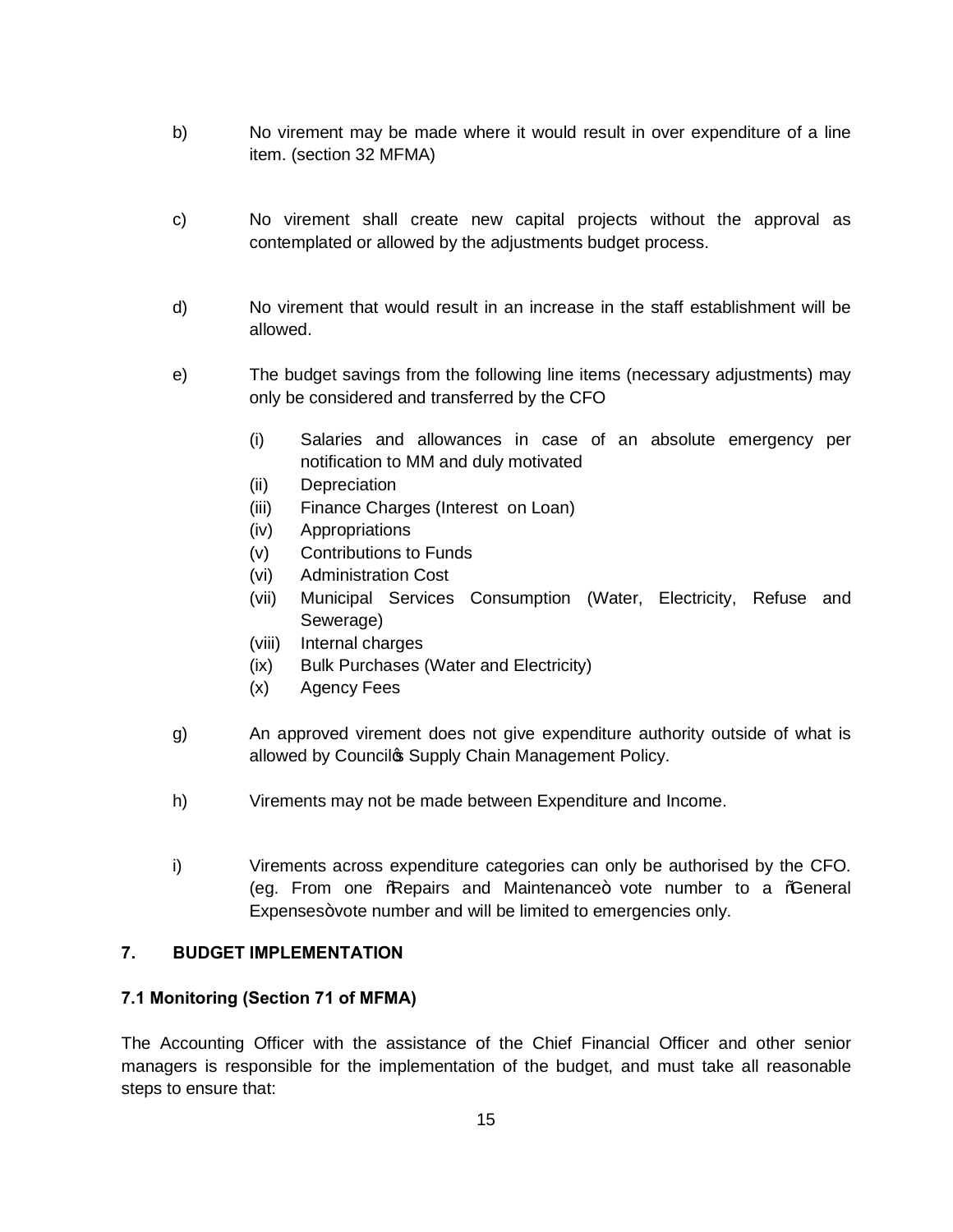- b) No virement may be made where it would result in over expenditure of a line item. (section 32 MFMA)
- c) No virement shall create new capital projects without the approval as contemplated or allowed by the adjustments budget process.
- d) No virement that would result in an increase in the staff establishment will be allowed.
- e) The budget savings from the following line items (necessary adjustments) may only be considered and transferred by the CFO
	- (i) Salaries and allowances in case of an absolute emergency per notification to MM and duly motivated
	- (ii) Depreciation
	- (iii) Finance Charges (Interest on Loan)
	- (iv) Appropriations
	- (v) Contributions to Funds
	- (vi) Administration Cost
	- (vii) Municipal Services Consumption (Water, Electricity, Refuse and Sewerage)
	- (viii) Internal charges
	- (ix) Bulk Purchases (Water and Electricity)
	- (x) Agency Fees
- g) An approved virement does not give expenditure authority outside of what is allowed by Council & Supply Chain Management Policy.
- h) Virements may not be made between Expenditure and Income.
- i) Virements across expenditure categories can only be authorised by the CFO. (eg. From one Reepairs and Maintenance+ vote number to a Ceneral Expenses+vote number and will be limited to emergencies only.

# **7. BUDGET IMPLEMENTATION**

#### **7.1 Monitoring (Section 71 of MFMA)**

The Accounting Officer with the assistance of the Chief Financial Officer and other senior managers is responsible for the implementation of the budget, and must take all reasonable steps to ensure that: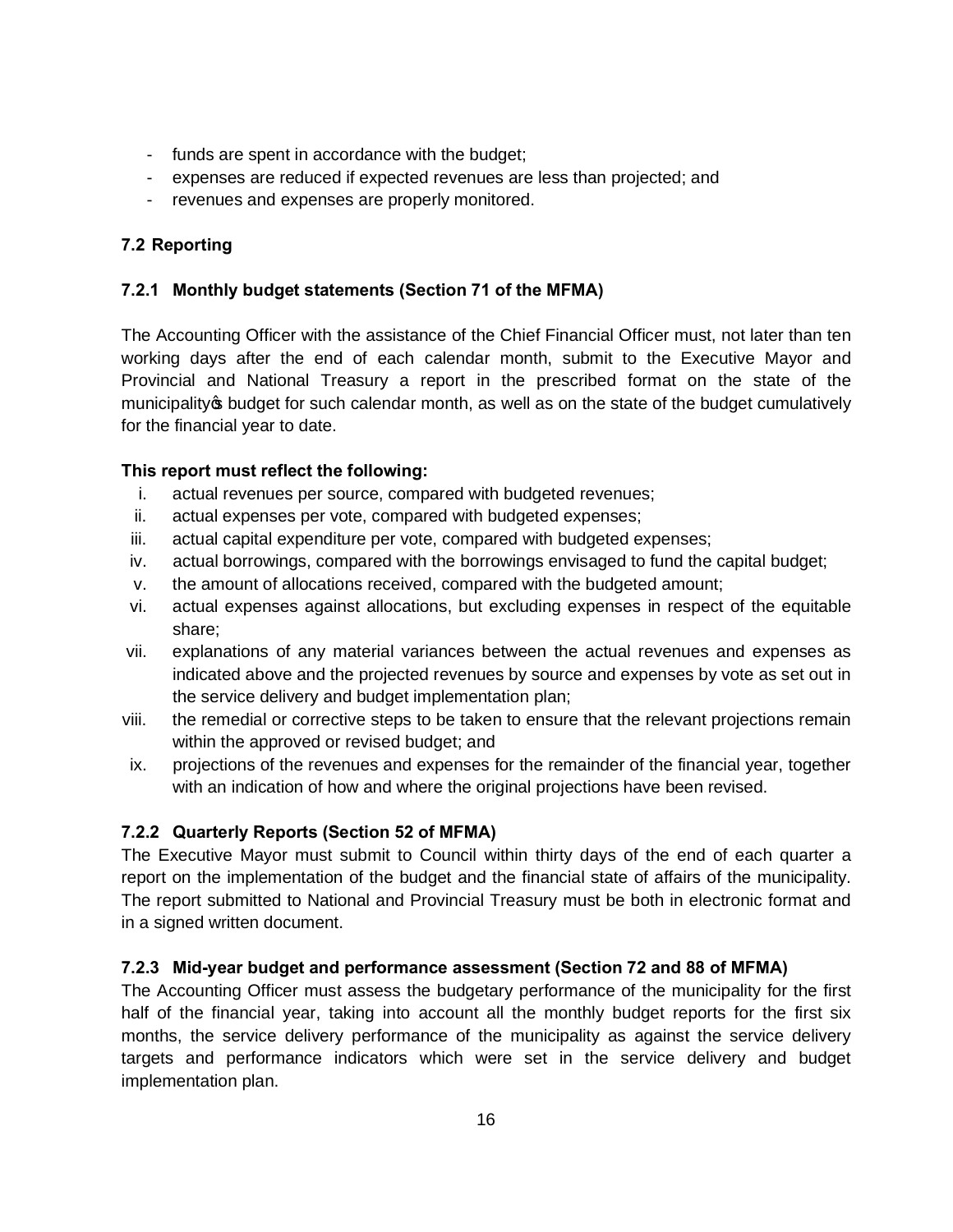- funds are spent in accordance with the budget;
- expenses are reduced if expected revenues are less than projected; and
- revenues and expenses are properly monitored.

# **7.2 Reporting**

# **7.2.1 Monthly budget statements (Section 71 of the MFMA)**

The Accounting Officer with the assistance of the Chief Financial Officer must, not later than ten working days after the end of each calendar month, submit to the Executive Mayor and Provincial and National Treasury a report in the prescribed format on the state of the municipality option budget for such calendar month, as well as on the state of the budget cumulatively for the financial year to date.

# **This report must reflect the following:**

- i. actual revenues per source, compared with budgeted revenues;
- ii. actual expenses per vote, compared with budgeted expenses;
- iii. actual capital expenditure per vote, compared with budgeted expenses;
- iv. actual borrowings, compared with the borrowings envisaged to fund the capital budget;
- v. the amount of allocations received, compared with the budgeted amount;
- vi. actual expenses against allocations, but excluding expenses in respect of the equitable share;
- vii. explanations of any material variances between the actual revenues and expenses as indicated above and the projected revenues by source and expenses by vote as set out in the service delivery and budget implementation plan;
- viii. the remedial or corrective steps to be taken to ensure that the relevant projections remain within the approved or revised budget; and
- ix. projections of the revenues and expenses for the remainder of the financial year, together with an indication of how and where the original projections have been revised.

# **7.2.2 Quarterly Reports (Section 52 of MFMA)**

The Executive Mayor must submit to Council within thirty days of the end of each quarter a report on the implementation of the budget and the financial state of affairs of the municipality. The report submitted to National and Provincial Treasury must be both in electronic format and in a signed written document.

#### **7.2.3 Mid-year budget and performance assessment (Section 72 and 88 of MFMA)**

The Accounting Officer must assess the budgetary performance of the municipality for the first half of the financial year, taking into account all the monthly budget reports for the first six months, the service delivery performance of the municipality as against the service delivery targets and performance indicators which were set in the service delivery and budget implementation plan.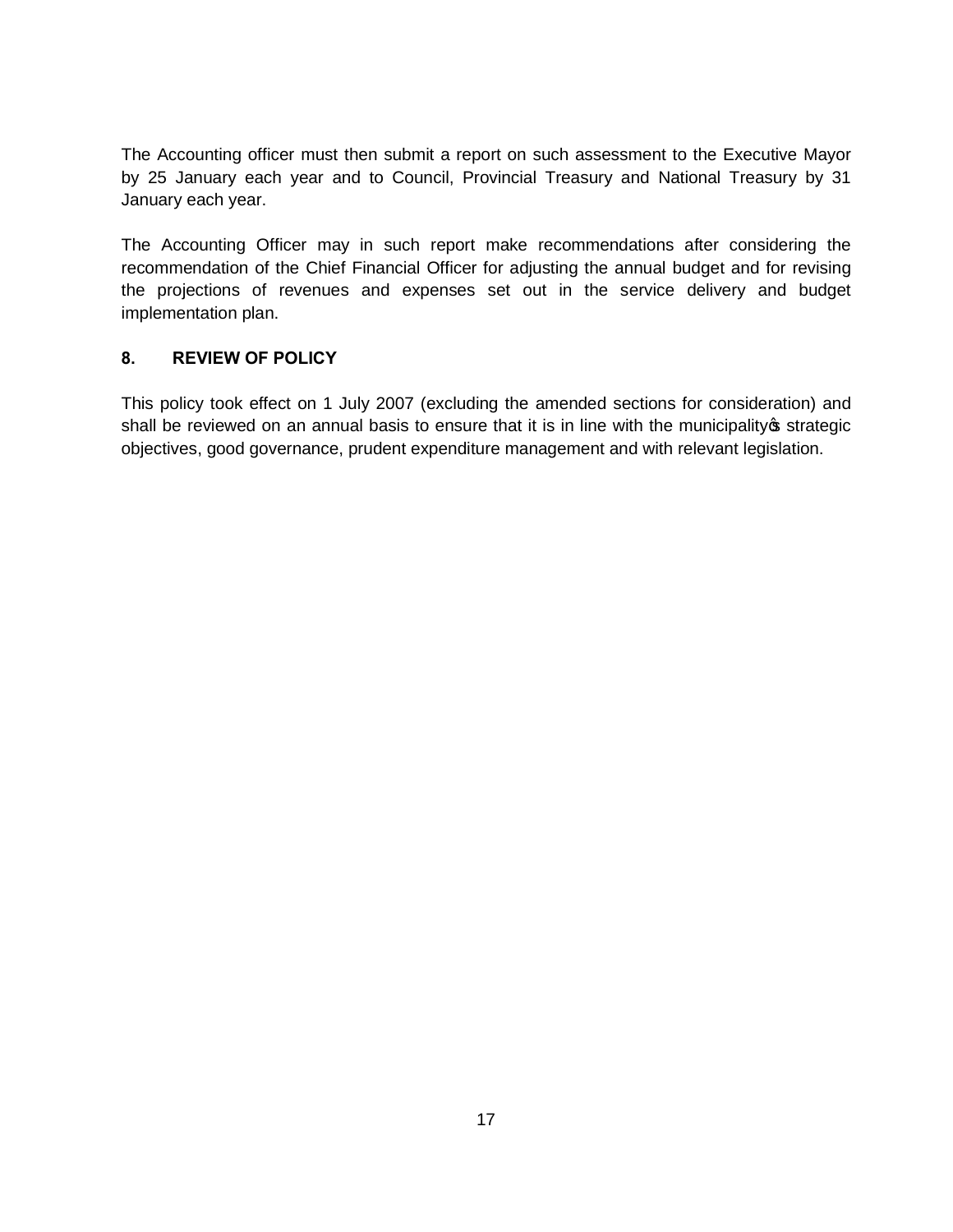The Accounting officer must then submit a report on such assessment to the Executive Mayor by 25 January each year and to Council, Provincial Treasury and National Treasury by 31 January each year.

The Accounting Officer may in such report make recommendations after considering the recommendation of the Chief Financial Officer for adjusting the annual budget and for revising the projections of revenues and expenses set out in the service delivery and budget implementation plan.

# **8. REVIEW OF POLICY**

This policy took effect on 1 July 2007 (excluding the amended sections for consideration) and shall be reviewed on an annual basis to ensure that it is in line with the municipality of strategic objectives, good governance, prudent expenditure management and with relevant legislation.